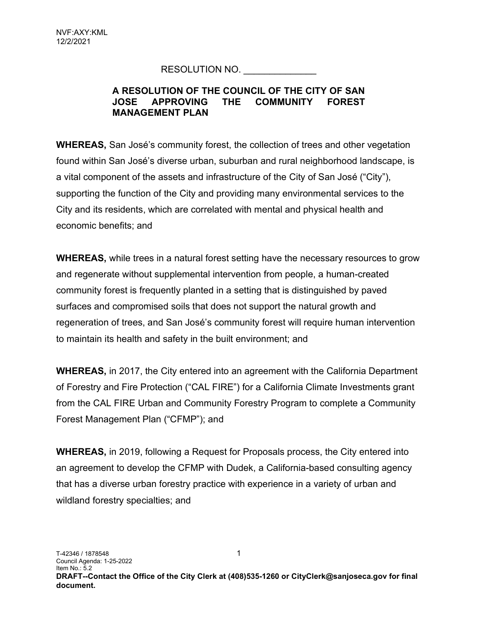## RESOLUTION NO.

## A RESOLUTION OF THE COUNCIL OF THE CITY OF SAN JOSE APPROVING THE COMMUNITY FOREST MANAGEMENT PLAN

WHEREAS, San José's community forest, the collection of trees and other vegetation found within San José's diverse urban, suburban and rural neighborhood landscape, is a vital component of the assets and infrastructure of the City of San José ("City"), supporting the function of the City and providing many environmental services to the City and its residents, which are correlated with mental and physical health and economic benefits; and

WHEREAS, while trees in a natural forest setting have the necessary resources to grow and regenerate without supplemental intervention from people, a human-created community forest is frequently planted in a setting that is distinguished by paved surfaces and compromised soils that does not support the natural growth and regeneration of trees, and San José's community forest will require human intervention to maintain its health and safety in the built environment; and

WHEREAS, in 2017, the City entered into an agreement with the California Department of Forestry and Fire Protection ("CAL FIRE") for a California Climate Investments grant from the CAL FIRE Urban and Community Forestry Program to complete a Community Forest Management Plan ("CFMP"); and

WHEREAS, in 2019, following a Request for Proposals process, the City entered into an agreement to develop the CFMP with Dudek, a California-based consulting agency that has a diverse urban forestry practice with experience in a variety of urban and wildland forestry specialties; and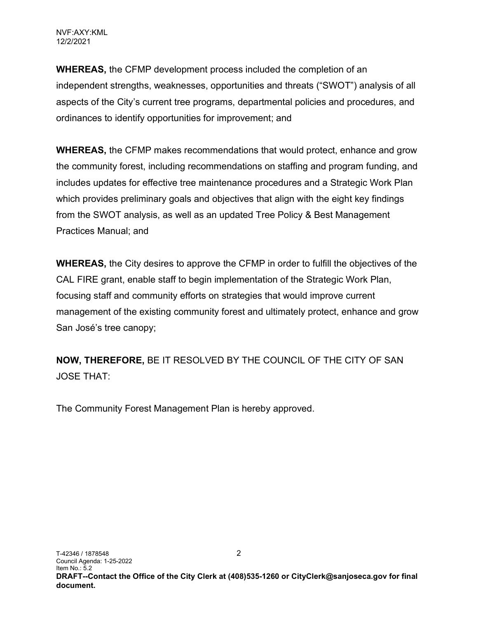WHEREAS, the CFMP development process included the completion of an independent strengths, weaknesses, opportunities and threats ("SWOT") analysis of all aspects of the City's current tree programs, departmental policies and procedures, and ordinances to identify opportunities for improvement; and

WHEREAS, the CFMP makes recommendations that would protect, enhance and grow the community forest, including recommendations on staffing and program funding, and includes updates for effective tree maintenance procedures and a Strategic Work Plan which provides preliminary goals and objectives that align with the eight key findings from the SWOT analysis, as well as an updated Tree Policy & Best Management Practices Manual; and

WHEREAS, the City desires to approve the CFMP in order to fulfill the objectives of the CAL FIRE grant, enable staff to begin implementation of the Strategic Work Plan, focusing staff and community efforts on strategies that would improve current management of the existing community forest and ultimately protect, enhance and grow San José's tree canopy;

NOW, THEREFORE, BE IT RESOLVED BY THE COUNCIL OF THE CITY OF SAN JOSE THAT:

The Community Forest Management Plan is hereby approved.